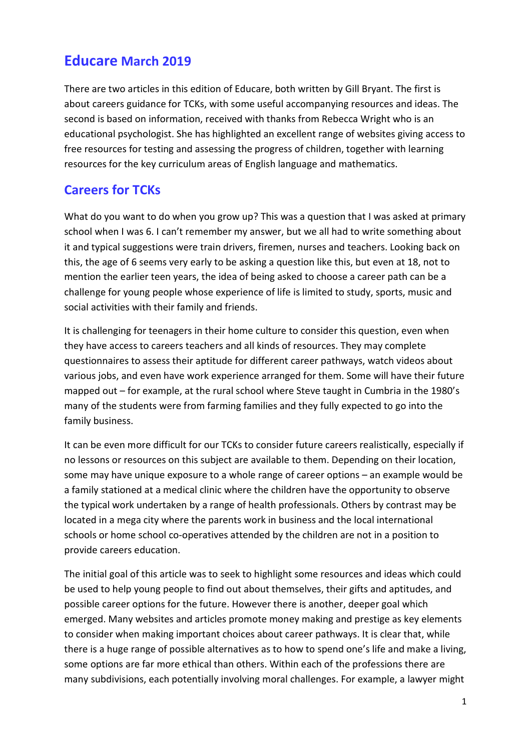# Educare March 2019

There are two articles in this edition of Educare, both written by Gill Bryant. The first is about careers guidance for TCKs, with some useful accompanying resources and ideas. The second is based on information, received with thanks from Rebecca Wright who is an educational psychologist. She has highlighted an excellent range of websites giving access to free resources for testing and assessing the progress of children, together with learning resources for the key curriculum areas of English language and mathematics.

## Careers for TCKs

What do you want to do when you grow up? This was a question that I was asked at primary school when I was 6. I can't remember my answer, but we all had to write something about it and typical suggestions were train drivers, firemen, nurses and teachers. Looking back on this, the age of 6 seems very early to be asking a question like this, but even at 18, not to mention the earlier teen years, the idea of being asked to choose a career path can be a challenge for young people whose experience of life is limited to study, sports, music and social activities with their family and friends.

It is challenging for teenagers in their home culture to consider this question, even when they have access to careers teachers and all kinds of resources. They may complete questionnaires to assess their aptitude for different career pathways, watch videos about various jobs, and even have work experience arranged for them. Some will have their future mapped out – for example, at the rural school where Steve taught in Cumbria in the 1980's many of the students were from farming families and they fully expected to go into the family business.

It can be even more difficult for our TCKs to consider future careers realistically, especially if no lessons or resources on this subject are available to them. Depending on their location, some may have unique exposure to a whole range of career options – an example would be a family stationed at a medical clinic where the children have the opportunity to observe the typical work undertaken by a range of health professionals. Others by contrast may be located in a mega city where the parents work in business and the local international schools or home school co-operatives attended by the children are not in a position to provide careers education.

The initial goal of this article was to seek to highlight some resources and ideas which could be used to help young people to find out about themselves, their gifts and aptitudes, and possible career options for the future. However there is another, deeper goal which emerged. Many websites and articles promote money making and prestige as key elements to consider when making important choices about career pathways. It is clear that, while there is a huge range of possible alternatives as to how to spend one's life and make a living, some options are far more ethical than others. Within each of the professions there are many subdivisions, each potentially involving moral challenges. For example, a lawyer might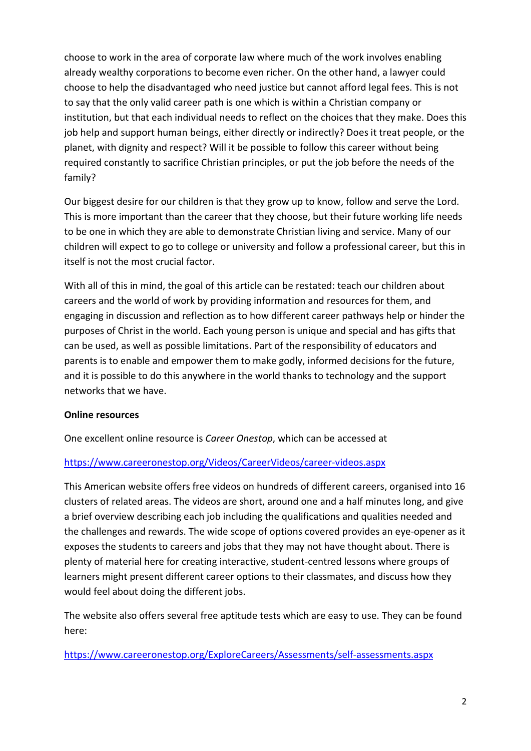choose to work in the area of corporate law where much of the work involves enabling already wealthy corporations to become even richer. On the other hand, a lawyer could choose to help the disadvantaged who need justice but cannot afford legal fees. This is not to say that the only valid career path is one which is within a Christian company or institution, but that each individual needs to reflect on the choices that they make. Does this job help and support human beings, either directly or indirectly? Does it treat people, or the planet, with dignity and respect? Will it be possible to follow this career without being required constantly to sacrifice Christian principles, or put the job before the needs of the family?

Our biggest desire for our children is that they grow up to know, follow and serve the Lord. This is more important than the career that they choose, but their future working life needs to be one in which they are able to demonstrate Christian living and service. Many of our children will expect to go to college or university and follow a professional career, but this in itself is not the most crucial factor.

With all of this in mind, the goal of this article can be restated: teach our children about careers and the world of work by providing information and resources for them, and engaging in discussion and reflection as to how different career pathways help or hinder the purposes of Christ in the world. Each young person is unique and special and has gifts that can be used, as well as possible limitations. Part of the responsibility of educators and parents is to enable and empower them to make godly, informed decisions for the future, and it is possible to do this anywhere in the world thanks to technology and the support networks that we have.

#### Online resources

One excellent online resource is Career Onestop, which can be accessed at

#### https://www.careeronestop.org/Videos/CareerVideos/career-videos.aspx

This American website offers free videos on hundreds of different careers, organised into 16 clusters of related areas. The videos are short, around one and a half minutes long, and give a brief overview describing each job including the qualifications and qualities needed and the challenges and rewards. The wide scope of options covered provides an eye-opener as it exposes the students to careers and jobs that they may not have thought about. There is plenty of material here for creating interactive, student-centred lessons where groups of learners might present different career options to their classmates, and discuss how they would feel about doing the different jobs.

The website also offers several free aptitude tests which are easy to use. They can be found here:

https://www.careeronestop.org/ExploreCareers/Assessments/self-assessments.aspx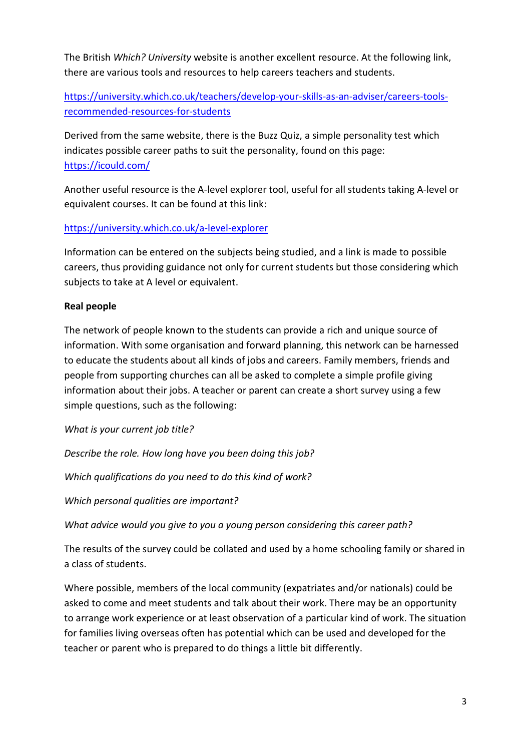The British Which? University website is another excellent resource. At the following link, there are various tools and resources to help careers teachers and students.

https://university.which.co.uk/teachers/develop-your-skills-as-an-adviser/careers-toolsrecommended-resources-for-students

Derived from the same website, there is the Buzz Quiz, a simple personality test which indicates possible career paths to suit the personality, found on this page: https://icould.com/

Another useful resource is the A-level explorer tool, useful for all students taking A-level or equivalent courses. It can be found at this link:

https://university.which.co.uk/a-level-explorer

Information can be entered on the subjects being studied, and a link is made to possible careers, thus providing guidance not only for current students but those considering which subjects to take at A level or equivalent.

#### Real people

The network of people known to the students can provide a rich and unique source of information. With some organisation and forward planning, this network can be harnessed to educate the students about all kinds of jobs and careers. Family members, friends and people from supporting churches can all be asked to complete a simple profile giving information about their jobs. A teacher or parent can create a short survey using a few simple questions, such as the following:

What is your current job title?

Describe the role. How long have you been doing this job?

Which qualifications do you need to do this kind of work?

Which personal qualities are important?

What advice would you give to you a young person considering this career path?

The results of the survey could be collated and used by a home schooling family or shared in a class of students.

Where possible, members of the local community (expatriates and/or nationals) could be asked to come and meet students and talk about their work. There may be an opportunity to arrange work experience or at least observation of a particular kind of work. The situation for families living overseas often has potential which can be used and developed for the teacher or parent who is prepared to do things a little bit differently.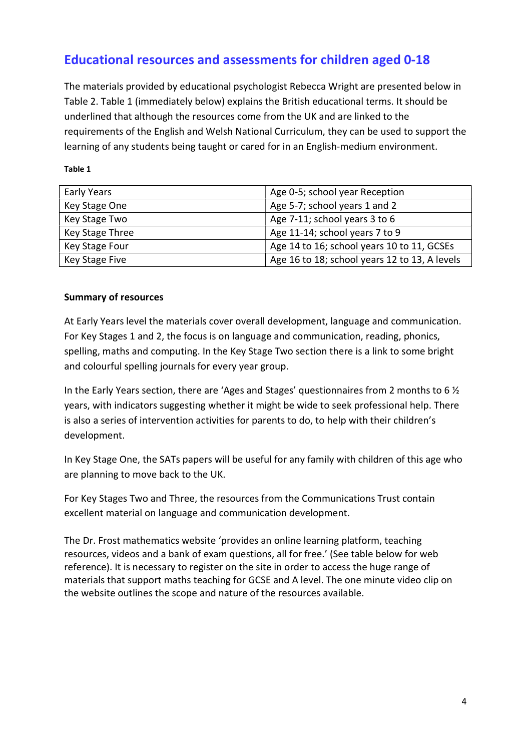# Educational resources and assessments for children aged 0-18

The materials provided by educational psychologist Rebecca Wright are presented below in Table 2. Table 1 (immediately below) explains the British educational terms. It should be underlined that although the resources come from the UK and are linked to the requirements of the English and Welsh National Curriculum, they can be used to support the learning of any students being taught or cared for in an English-medium environment.

Table 1

| Early Years     | Age 0-5; school year Reception                |
|-----------------|-----------------------------------------------|
| Key Stage One   | Age 5-7; school years 1 and 2                 |
| Key Stage Two   | Age 7-11; school years 3 to 6                 |
| Key Stage Three | Age 11-14; school years 7 to 9                |
| Key Stage Four  | Age 14 to 16; school years 10 to 11, GCSEs    |
| Key Stage Five  | Age 16 to 18; school years 12 to 13, A levels |

#### Summary of resources

At Early Years level the materials cover overall development, language and communication. For Key Stages 1 and 2, the focus is on language and communication, reading, phonics, spelling, maths and computing. In the Key Stage Two section there is a link to some bright and colourful spelling journals for every year group.

In the Early Years section, there are 'Ages and Stages' questionnaires from 2 months to 6 ½ years, with indicators suggesting whether it might be wide to seek professional help. There is also a series of intervention activities for parents to do, to help with their children's development.

In Key Stage One, the SATs papers will be useful for any family with children of this age who are planning to move back to the UK.

For Key Stages Two and Three, the resources from the Communications Trust contain excellent material on language and communication development.

The Dr. Frost mathematics website 'provides an online learning platform, teaching resources, videos and a bank of exam questions, all for free.' (See table below for web reference). It is necessary to register on the site in order to access the huge range of materials that support maths teaching for GCSE and A level. The one minute video clip on the website outlines the scope and nature of the resources available.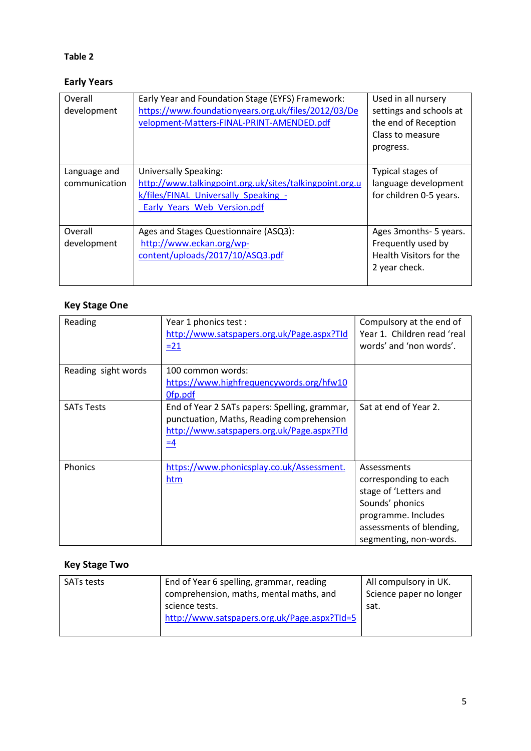### Table 2

## Early Years

| Overall<br>development        | Early Year and Foundation Stage (EYFS) Framework:<br>https://www.foundationyears.org.uk/files/2012/03/De<br>velopment-Matters-FINAL-PRINT-AMENDED.pdf   | Used in all nursery<br>settings and schools at<br>the end of Reception<br>Class to measure<br>progress. |
|-------------------------------|---------------------------------------------------------------------------------------------------------------------------------------------------------|---------------------------------------------------------------------------------------------------------|
| Language and<br>communication | Universally Speaking:<br>http://www.talkingpoint.org.uk/sites/talkingpoint.org.u<br>k/files/FINAL Universally Speaking -<br>Early Years Web Version.pdf | Typical stages of<br>language development<br>for children 0-5 years.                                    |
| Overall<br>development        | Ages and Stages Questionnaire (ASQ3):<br>http://www.eckan.org/wp-<br>content/uploads/2017/10/ASQ3.pdf                                                   | Ages 3months- 5 years.<br>Frequently used by<br>Health Visitors for the<br>2 year check.                |

## Key Stage One

| Reading             | Year 1 phonics test :<br>http://www.satspapers.org.uk/Page.aspx?TId<br>$= 21$                                                                                      | Compulsory at the end of<br>Year 1. Children read 'real<br>words' and 'non words'.                                                                            |
|---------------------|--------------------------------------------------------------------------------------------------------------------------------------------------------------------|---------------------------------------------------------------------------------------------------------------------------------------------------------------|
| Reading sight words | 100 common words:<br>https://www.highfrequencywords.org/hfw10<br>Ofp.pdf                                                                                           |                                                                                                                                                               |
| <b>SATs Tests</b>   | End of Year 2 SATs papers: Spelling, grammar,<br>punctuation, Maths, Reading comprehension<br>http://www.satspapers.org.uk/Page.aspx?TId<br>$\equiv$ $\frac{4}{1}$ | Sat at end of Year 2.                                                                                                                                         |
| Phonics             | https://www.phonicsplay.co.uk/Assessment.<br>htm                                                                                                                   | Assessments<br>corresponding to each<br>stage of 'Letters and<br>Sounds' phonics<br>programme. Includes<br>assessments of blending,<br>segmenting, non-words. |

# Key Stage Two

| End of Year 6 spelling, grammar, reading<br>All compulsory in UK.<br><b>SATs tests</b><br>comprehension, maths, mental maths, and<br>Science paper no longer<br>science tests.<br>sat.<br>http://www.satspapers.org.uk/Page.aspx?TId=5 |  |
|----------------------------------------------------------------------------------------------------------------------------------------------------------------------------------------------------------------------------------------|--|
|----------------------------------------------------------------------------------------------------------------------------------------------------------------------------------------------------------------------------------------|--|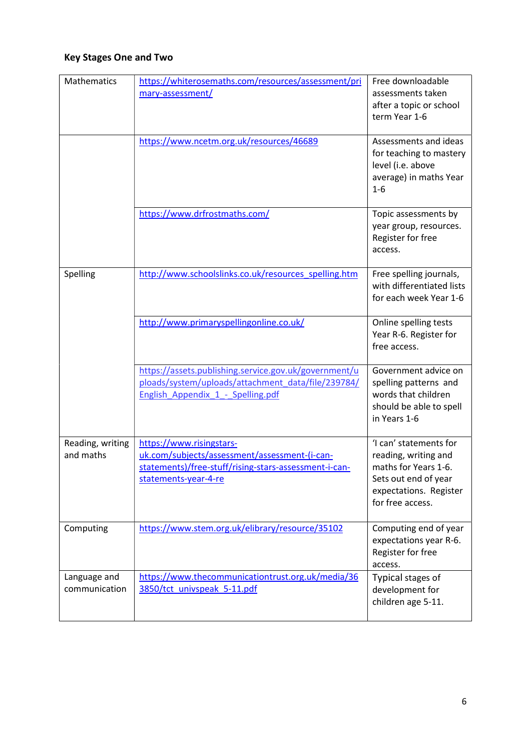## Key Stages One and Two

| Mathematics                   | https://whiterosemaths.com/resources/assessment/pri<br>mary-assessment/                                                                                    | Free downloadable<br>assessments taken<br>after a topic or school<br>term Year 1-6                                                           |
|-------------------------------|------------------------------------------------------------------------------------------------------------------------------------------------------------|----------------------------------------------------------------------------------------------------------------------------------------------|
|                               | https://www.ncetm.org.uk/resources/46689                                                                                                                   | Assessments and ideas<br>for teaching to mastery<br>level (i.e. above<br>average) in maths Year<br>$1-6$                                     |
|                               | https://www.drfrostmaths.com/                                                                                                                              | Topic assessments by<br>year group, resources.<br>Register for free<br>access.                                                               |
| Spelling                      | http://www.schoolslinks.co.uk/resources_spelling.htm                                                                                                       | Free spelling journals,<br>with differentiated lists<br>for each week Year 1-6                                                               |
|                               | http://www.primaryspellingonline.co.uk/                                                                                                                    | Online spelling tests<br>Year R-6. Register for<br>free access.                                                                              |
|                               | https://assets.publishing.service.gov.uk/government/u<br>ploads/system/uploads/attachment_data/file/239784/<br>English Appendix 1 - Spelling.pdf           | Government advice on<br>spelling patterns and<br>words that children<br>should be able to spell<br>in Years 1-6                              |
| Reading, writing<br>and maths | https://www.risingstars-<br>uk.com/subjects/assessment/assessment-(i-can-<br>statements)/free-stuff/rising-stars-assessment-i-can-<br>statements-year-4-re | 'I can' statements for<br>reading, writing and<br>maths for Years 1-6.<br>Sets out end of year<br>expectations. Register<br>for free access. |
| Computing                     | https://www.stem.org.uk/elibrary/resource/35102                                                                                                            | Computing end of year<br>expectations year R-6.<br>Register for free<br>access.                                                              |
| Language and<br>communication | https://www.thecommunicationtrust.org.uk/media/36<br>3850/tct univspeak 5-11.pdf                                                                           | Typical stages of<br>development for<br>children age 5-11.                                                                                   |